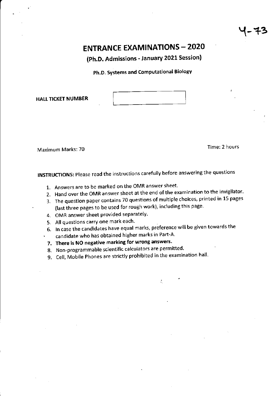Y-+3

# **ENTRANCE EXAMINATIONS - 2020**

(Ph.D. Admissions - January 2021 Session)

Ph.D, Systems and Computational Eiology

HALL TICKET NUMBER

Maximum Marks: 70 **Time:** 2 hours

INSTRUCTIONS: Please read the instructions carefully before answering the questions

- 1. Answers are to be marked on the OMR answer sheet
- 2. Hand over the OMR answer sheet at the end of the examination to the invigilator.
- 3. The question paper contains 70 questions of multiple choices, printed in 15 pages (last three pages to be used for rough work), including this page
- 4. OMR answer sheet provided separately.
- 5. All questions carry one mark each'
- 6- ln case the candidates have equal marks, preference will be given towards the ' candidate who has obtained higher marks in Part-A
- 7. There is NO negative marking for wrong answers.
- 8. Non-programmable scientific calculators are permitted.
- 9. Cell, Mobile Phones are strictly prohibited in the examination hall.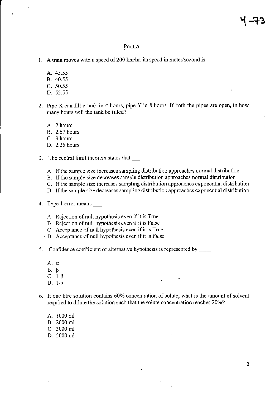#### Part A

- 1. A train moves with a speed of 200 km/hr, its speed in meter/second is
	- A. 45.55
	- B. 40.55
	- $C. 50.55$
	- D. 55.55
- 2. Pipe X can fill a tank in 4 hours, pipe Y in 8 hours. If both the pipes are open, in how many hours will the tank be filled?
	- A. 2 hours
	- **B.** 2.67 hours
	- C. 3 hours
	- D. 2.25 hours
- 3. The central limit theorem states that
	- A. If the sample size increases sampling distribution approaches normal distribution
	- B. If the sample size decreases sample distribution approaches normal distribution
	- C. If the sample size increases sampling distribution approaches exponential distribution
	- D. If the sample size decreases sampling distribution approaches exponential distribution
- 4. Type 1 error means
	- A. Rejection of null hypothesis even if it is True
	- B. Rejection of null hypothesis even if it is False
	- C. Acceptance of null hypothesis even if it is True
	- · D. Acceptance of null hypothesis even if it is False
- 5. Confidence coefficient of alternative hypothesis is represented by \_
	- $A. \alpha$
	- $B. \beta$
	- C.  $1-\beta$
	- D. 1- $\alpha$
- 6. If one litre solution contains 60% concentration of solute, what is the amount of solvent required to dilute the solution such that the solute concentration reaches 20%?

尧

- A. 1000 ml
- B. 2000 ml
- C. 3000 ml
- D. 5000 ml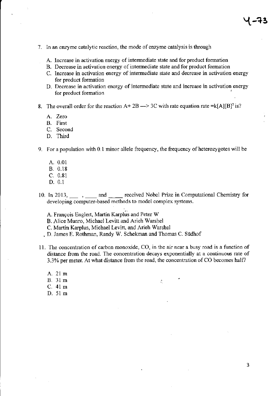- 7. ln an enzyme catalytic reaction, the mode of enzyme catalysis is through
	- A. Increase in activation energy of intermediate state and for product formation
	- B. Decrease in activation energy of intermediate state and for product fomation
	- C. Increase in activation energy of intermediate state and decrease in activation energy for product formation
	- D. Decrease in activation energy of intemediate state and increase in activation energy for product formation

8. The overall order for the reaction  $A + 2B \rightarrow 3C$  with rate equation rate =k[A][B]<sup>2</sup> is?

- A. Zero
- B. First
- C. Second
- D. Third

9. For a population with 0.I minor allele frequency, the frequency of heterozygotes will be

- A.0.01 B. 0.18
- c.0.81
- D. 0.1
- 10. In 2013, and and received Nobel Prize in Computational Chemistry for developing computer-based methods to model complex systems.
	- A. François Englert, Martin Karplus and Peter W
	- B. Alice Munro, Michael Levitt and Arieh Warshel
	- C. Martin Karplus, Michael Levitt, and Arieh Warshel
	- . D. James E. Rothman, Randy W. Schekman and Thomas C. Siidhof
- <sup>I</sup>L The concentration of carbon monoxide, CO, ir the air near a busy road is a function of distance ftom the road. The concentration decays exponentially at a continuous rate of 3.3% per meter. At what distance from the road, the concentration of CO becomes half?
	- A. 21 m B. 31 m  $\epsilon$   $\sim$   $\epsilon$ C. 41 m D.51 m

3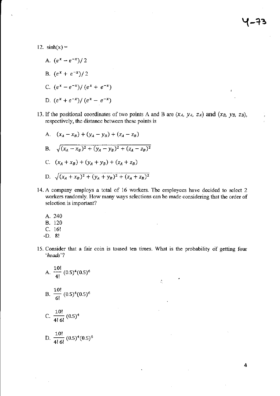12.  $sinh(x) =$ 

- A.  $(e^x e^{-x})/2$
- B.  $(e^x + e^{-x})/2$
- C.  $(e^x e^{-x}) / (e^x + e^{-x})$
- D.  $(e^x + e^{-x})/(e^x e^{-x})$
- 13. If the positional coordinates of two points A and B are  $(x_A, y_A, z_A)$  and  $(x_B, y_B, z_B)$ , respectively, the distance between these points is
	- A.  $(x_A x_B) + (y_A y_B) + (z_A z_B)$ B.  $\sqrt{(x_A - x_B)^2 + (y_A - y_B)^2 + (z_A - z_B)^2}$ C.  $(x_A + x_B) + (y_A + y_B) + (z_A + z_B)$
	- D.  $\sqrt{(x_A + x_B)^2 + (y_A + y_B)^2 + (z_A + z_B)^2}$
- 14. A company employs a total of 16 workers. The employees have decided to select <sup>2</sup> workers randomly. How many ways selections can be made considering that the order of selection is important?
	- A. 240
	- B. <sup>120</sup>
	- c. 16!
	- .D.8!
- 15. Consider that a fair coin is tossed ten times. What is the probability of getting four 'heads"l

÷,

A. 
$$
\frac{10!}{4!} (0.5)^4 (0.5)^6
$$
  
B.  $\frac{10!}{6!} (0.5)^4 (0.5)^6$   
C.  $\frac{10!}{4! 6!} (0.5)^4$ 

D. 
$$
\frac{10!}{4!\ 6!} (0.5)^4 (0.5)^6
$$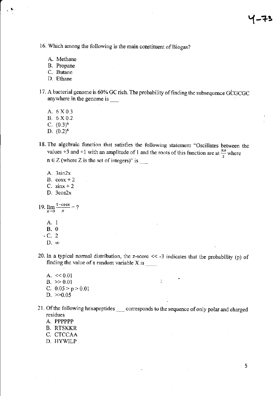16. Which among the following is the main constituent of Biogas?

- A. Methane
- B. Propane
- C. Butane
- D. Ethane
- 17. A bacterial genome is 60% GC rich. The probability of finding the subsequence GCGCGC anywhere in the genome is
	- A. 6 X 0.3
	- B. 6 X 0.2
	- C.  $(0.3)^6$
	- D.  $(0.2)^6$
- 18. The algebraic function that satisfies the following statement "Oscillates between the values +3 and +1 with an amplitude of 1 and the roots of this function are at  $\frac{n\pi}{2}$  where  $n \in Z$  (where Z is the set of integers)" is
	- A. 3sin2x
	- B.  $\cos x + 2$
	- C.  $\sin x + 2$
	- D. 3cos2x

19.  $\lim_{x\to 0} \frac{1-\cos x}{x} = ?$ 

- A. 1  $B. 0$
- $\cdot$  C. 2
	- $D.~\infty$
- 20. In a typical normal distribution, the z-score  $\le$  -3 indicates that the probability (p) of finding the value of a random variable X is  $\frac{ }{ }$

÷,

- A.  $<< 0.01$  $B. > > 0.01$ C.  $0.05 > p > 0.01$ D.  $>>0.05$
- 21. Of the following hexapeptides corresponds to the sequence of only polar and charged residues
	- A. PPPPPP
	- **B. RTSKKR**
	- C. CTCCAA
	- D. HYWILP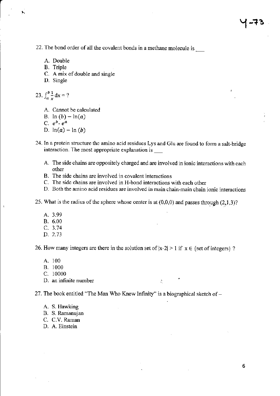22. The bond order of all the covalent bonds in a methane molecule is  $\frac{1}{\sqrt{2}}$ 

A. Double

t"

 $\ddot{\phantom{a}}$ 

- B. Triple
- C. A mix of double and single
- D. Single

$$
23. \int_a^b \frac{1}{x} \, \mathrm{d}x = ?
$$

- A. Cannot be calculated
- B.  $ln (b) ln(a)$
- C.  $e^b$   $e^a$
- D.  $ln(a) ln(b)$
- 24. In a protein structure the amino acid residues Lys and GIu are found to form a sait-bridge interaction. The most appropriate explanation is
	- A. The side chains are oppositely charged and are involved in ionic interactions with each other
	- B. The side chains are involved in covalent interactions
	- C. The side chains are involved in H-bond interactions with each other
	- D. Both the amino acid residues are involved in main chain-main chain ionic interactions
- 25. What is the radius of the sphere whose center is at  $(0,0,0)$  and passes through  $(2,1,3)$ ?
	- A.3.99
	- B.6.00
	- c.3.74
	- D. 2.73

26. How many integers are there in the solution set of  $|x-2| > 1$  if  $x \in \{set$  of integers ?

- A. <sup>100</sup>
- B. <sup>1000</sup>
- c. <sup>10000</sup>
- D. an infinite number  $\therefore$

27. The book entitled "The Man Who Knew Infinity" is a biographical sketch of  $-$ 

- A. S. Hawking
- B. S. Ramanujan
- C. C.V. Raman
- D. A. Einstein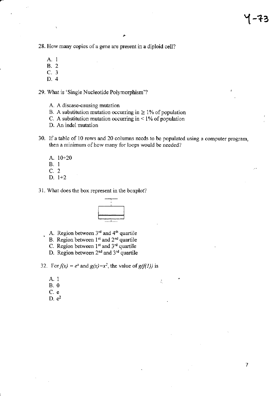$\overline{7}$ 

28. How many copies of a gene are present in a diploid cell?

- A. 1
- **B.** 2
- C. 3
- D. 4

29. What is 'Single Nucleotide Polymorphism'?

- A. A disease-causing mutation
- B. A substitution mutation occurring in  $\geq 1\%$  of population
- C. A substitution mutation occurring in  $\leq 1\%$  of population
- D. An indel mutation
- 30. If a table of 10 rows and 20 columns needs to be populated using a computer program, then a minimum of how many for loops would be needed?

÷,

- A. 10+20  $B. 1$  $C.2$  $D. 1+2$
- 31. What does the box represent in the boxplot?



- A. Region between 3rd and 4th quartile
	- B. Region between 1<sup>st</sup> and 2<sup>nd</sup> quartile
	- C. Region between 1<sup>st</sup> and 3<sup>rd</sup> quartile
	- D. Region between 2<sup>nd</sup> and 3<sup>rd</sup> quartile

32. For  $f(x) = e^x$  and  $g(x)=x^2$ , the value of  $g(f(1))$  is

- A. 1
- $B. 0$
- C. e
- $D. e<sup>2</sup>$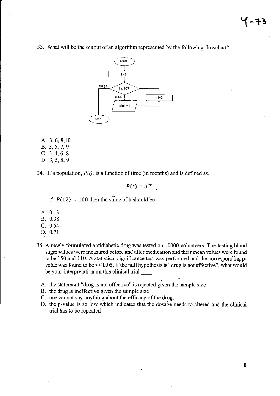33. What will be the output of an algorithm represented by the following flowchart?



A. 3, 6, 8, 10 B. 3, 5, 7, 9 C.  $3, 4, 6, 8$ D. 3, 5, 8, 9

34. If a population,  $P(t)$ , is a function of time (in months) and is defined as,

$$
P(t)=e^{kt}
$$

if  $P(12) = 100$  then the value of k should be

- A. 0.13 B. 0.38
- $C. 0.54$
- D. 0.71
- 
- 35. A newly formulated antidiabetic drug was tested on 10000 volunteers. The fasting blood sugar values were measured before and after medication and their mean values were found to be 150 and 110. A statistical significance test was performed and the corresponding pvalue was found to be  $<< 0.05$ . If the null hypothesis is "drug is not effective", what would be your interpretation on this clinical trial
	- A. the statement "drug is not effective" is rejected given the sample size
	- B. the drug is ineffective given the sample size
	- C. one cannot say anything about the efficacy of the drug.
	- D. the p-value is so low which indicates that the dosage needs to altered and the clinical trial has to be repeated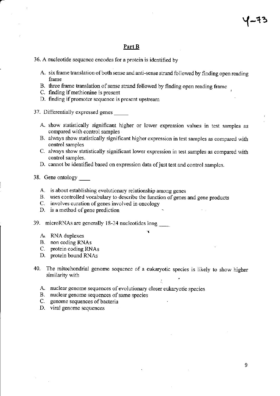#### Part B

36. A nucleotide sequence encodes for a protein is identified by

- A. six frame translation of both sense and anti-sense strand followed by finding open reading frame
- B. three frame translation of sense strand followed by finding open reading frame
- C. finding if methionine is present
- D. finding if promoter sequence is present upstream

37. Differentially expressed genes

- A. show statistically significant higher or lower expression values in test samples as compared with control samples
- B. always show statistically significant higher expression in test samples as compared with control samples
- C. always show statistically significant lower expression in test samples as compared with control samples.
- D. cannot be identified based on expression data of just test and control samples.

38. Gene ontology \_

- A. is about establishing evolutionary relationship among genes
- B. uses controlled vocabulary to describe the function of genes and gene products C. involves curation of genes involved in oncology
- 
- D. is a method of gene prediction

39. microRNAs are generalJy l8-24 nucleotides long\_

- A. RNA duplexes
- B. non coding RNAS
- C. protein coding RNAs
- D. protein bound RNAs
- 40. The mitochondrial genome sequence of a eukaryotic species is likely to show higher similarity with : .
	- A. nuclear genome sequences of evolutionary closer eukaryotic species B. nuclear genome sequences of same species
	-
	- C. genome sequences of bacteria
	- D. viral genome sequences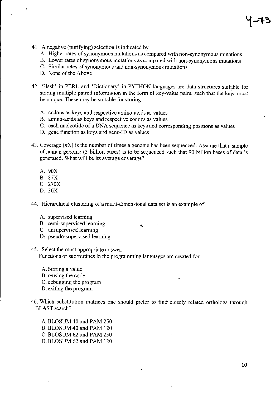- 41. A negative (purifying) selection is indicated by
	- A. Higher rates of synonymous mutations as compared with non-synonymous mutations
	- B. Lower rates of synonymous mutations as compared with non-synonymous mutations
	- C. Similar rates of synonymous and non-synonymous mutations
	- D. None of the Above
- 42. 'Hash' in PERL and'Dictionary' in PYTHON languages are data structues suitable for storing multiple paired information in the form of key-value pairs, such that the keys must be unique. These may be suitable for storing
	- A. codons as keys and respective amino-acids as values
	- B. amino-acids as keys and respective codons as values
	- C. each nucleotide of a DNA sequence as keys and corresponding positions as values
	- D. gene function as keys and gene-ID as values
- 43. Coverage  $(nX)$  is the number of times a genome has been sequenced. Assume that a sample of human genome (3 billion bases) is to be sequenced such that 90 billion bases of data is generated. What will be its average coverage?
	- A. 9OX
	- B.87X
	- c.270x
	- D. 30X

44. Hierarchical clustering of a multi-dimensional data set is an example of

- A. supervised learning
- B. semi-supervised leaming
- C. unsupervised leaming
- D: pseudo-supervised learning
- 45. Select the most appropriate ansuer.

Functions or subroutines in the programming languages are created for

- A. Storing a value B. reusing the code C. debugging the program is a set of  $\sim$ D. exiting the program
- 46. Which substitution matrices one should prefer to find closely relared orthologs though BLAST search?

A. BLOSUM 40 and PAM 250 B. BLOSUM 40 and PAM 120 C. BLOSUM 62 and PAM 250 D. BLOSUM 62 and PAM 120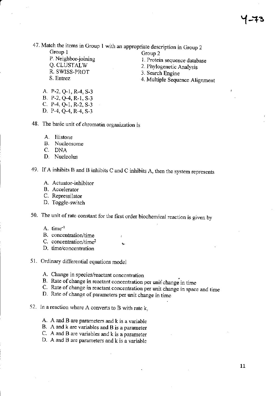47. Match the items in Group I with an appropriate description in Group <sup>2</sup>

Group 1 Group 2 Group 1<br>
P. Neighbor-joining 1. Protein sequence database<br>
Q. CLUSTALW 2. Phylogenetic Analysis Q. CLUSTALW 2. Phylogenetic Analysis<br>R. SWISS-PROT 3 Search Engine R. SWISS-PROT 3. Search Engine<br>
S. Entrez 3. Multiple Search

- 
- 
- 
- 4. Multiple Sequence Alignment

- A. P-2, Q-1, R-4, S-3 B. P-2, Q-4, R-1, S\_3 C.  $P-4$ , Q $-1$ , R $-2$ , S $-3$
- D. P-4, Q-4, R-4, S\_3

48. The basic unit of chromatin organization is

- A. Histone
- B. Nucleosome
- C. DNA
- D. Nucleolus

49. If A inhibits B and B inhibits C and C inhibits A, then the system represents

- A. Actuator-inhibitor
- B. Accelerator
- C. Repressilator
- D. Toggle-switch

50. The unit of rate constant for the first order biochemical reaction is given by

- A. time<sup>-1</sup>
- B. concentration/time
- C. concentration/time<sup>2</sup>
- D. time/concentration
- 51. Ordinary differential equations model
	-
	- A. Change in species/reactant concentration<br>B. Rate of change in reactant concentration per unit change in time
	- C. Rate of change in reactant concentration per unit change in space and time D. Rate of change of parameters per unit change in time
	-
- 52. In a reaction where A converts to B with rate  $k$ ,
	- A. A and B are parameters and k is a variable
	- B. A and k are variables and B is a parameter
	- C. A and B are variables and  $k$  is a parameter
	- D. A and B are parameters and  $k$  is a variable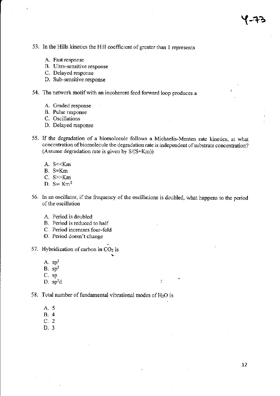- 53. In the Hills kinetics the Hill coefficient of greater than I represents
	- A. Fast response
	- B. Ultra-sensitive response
	- C. Delayed response
	- D. Sub-sensitive response
- 54. The network motif with an incoherent feed forward loop produces <sup>a</sup>
	- A. Graded response
	- B. Pulse response
	- C. Oscillations
	- D. Delayed response
- 55. If the degradation of a biomolecule follows a Michaelis-Menten rate kinetics, at what concentration of biomolecule the degradation rate is independent of substrate concentration? (Assume degradation rate is given by S(S+Km))
	- A. S<<Km
	- B. S=Km
	- C. S>>Km
	- D.  $S= Km^2$
- 56. In an oscillator, if the frequency of the oscillations is doubled, what happens to the period of the oscillation
	- A. Period is doubled
	- B. Period is reduced to half
	- C. Period increases four-fold
	- D. Period doesn't change
- 57. Hybridization of carbon in  $CO<sub>2</sub>$  is
	- A.  $sp<sup>3</sup>$  $B.$  sp<sup>2</sup>
	- C. sp
	- $D.$  sp<sup>2</sup>d :
- 58. Total number of fundamental vibrational modes of  $H_2O$  is
	- A.5
	- 8.4
	- c.2
	- D.3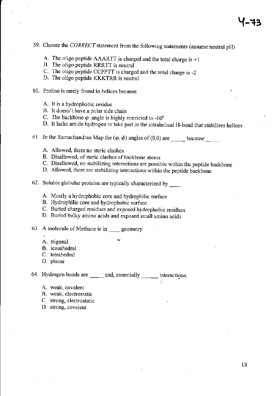- 59. Choose the CORRECT statement from the following statements (assume neutral pH)
	- A. The oligo peptide AAARTT is charged and the total charge is +1
	- B. The oligo peptide RRRTT is neural
	- C. The oligo peptide CCPPTT is charged and the toral charge is -2
	- D. The oligo peptide KKKTRR is neutral
- 60. Proline is rarely found in helices because <sup>t</sup>
	- A. It is a hydrophobic residue
	- B. It doesn't have a polar side chain
	- C. The backbone  $\varphi$  angle is highly restricted to -60<sup>0</sup>
	- D. It lacks amide hydrogen to take part in the intrahelical H-bond that stabilizes helices
- 61. In the Ramachandran Map the  $(\varphi, \psi)$  angles of (0,0) are sequence because
	- A. Allowed, there no steric clashes
	- B. Disallowed, of steric clashes of backbone atoms
	- C. Disallowed, no stabilizing interactions are possible within the peptide backbone
	- D. Allowed, there are stabilizing interactions within the peptide backbone
- 62. Soluble globular proteins are typically characterized by  $\frac{1}{\sqrt{2\pi}}$ 
	- A. Mostly a hydrophobic core and hydrophilic surface
	- B. Hydrophilic core and hydrophobic surface
	- C. Buried charged residues and exposed hydrophobic residues
	- D. Buried bulky amino acids and exposed small amino acids
- 63. A molecule of Methane is in geometry
	- A. trigonal
	- B. icosahedral
	- C. tetrahedral
	- D. planar

64. Hydrogen bonds are \_\_\_\_\_ and, essentially \_\_\_\_\_\_ interactions.

- A. weak, covalent
- B. weak, electrostatic
- C. strong, electrostatic
- D. strong, covalent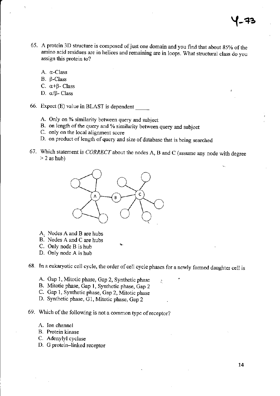- 65. A protein 3D structure is composed of just one domain and you find that about 85% of the amino acid residues are in helices and remaining are in loops. What structural class do you assign this protein to?
	- A. q-Class
	- B. β-Class
	- C.  $\alpha$ + $\beta$  Class
	- D.  $\alpha/\beta$  Class
- 66. Expect (E) value in BLAST is dependent
	- A. Only on % similarity between query and subject
	- B. on length of the query and % similarity between query and subject
	- C. only on the local alignment score
	- D. on product of length of query and size of database that is being searched
- 67. Which statement is  $CORRECT$  about the nodes A, B and C (assume any node with degree  $> 2$  as hub)



- A. Nodes A and B are hubs
- B. Nodes A and C are hubs
- C. Only node B is hub
- D. Only node A is hub

68. In a eukaryotic cell cycle, the order of cell cycle phases for a newly formed daughter cell is

- A. Gap 1, Mitotic phase, Gap 2, Synthetic phase
- B. Mitotic phase, Gap l, Synthetic phase, Gap 2
- C. Gap 1, Synthetic phase, Gap 2, Mitotic phase
- D. Synthetic phase, Gl, Mitotic phase, Gap 2
- 69. Which of the following is not a common type of receptor?
	- A. Ion channel
	- B. Protein kinase
	- C. Adenylyl cyclase
	- D. G protein–linked receptor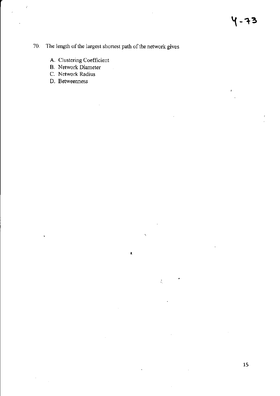$\mathbf{r}$ 

### 70. The length of the largest shortest path of the network gives

 $\bar{\mathcal{A}}$ 

 $\pmb{\lambda}$ 

 $\ddot{\phantom{0}}$ 

 $\zeta_i$ 

- A. Clustering Coefficient
- **B.** Network Diameter
- C. Network Radius
- D. Betweenness

 $\hat{\mathbf{v}}$